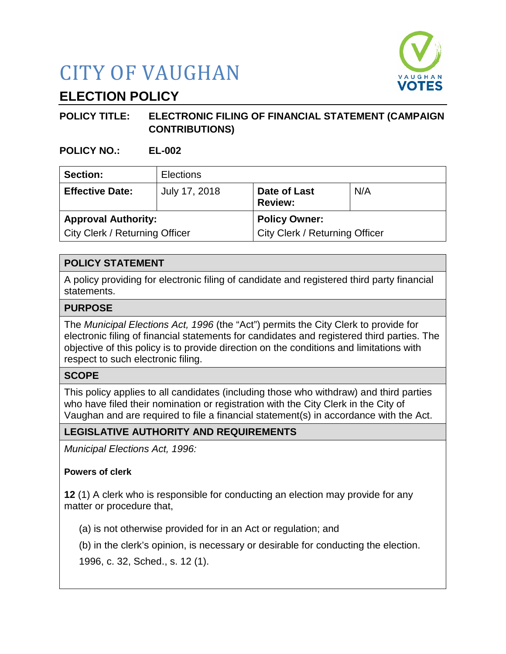# CITY OF VAUGHAN



# **ELECTION POLICY**

# **POLICY TITLE: ELECTRONIC FILING OF FINANCIAL STATEMENT (CAMPAIGN CONTRIBUTIONS)**

**POLICY NO.: EL-002**

| Section:                       | <b>Elections</b> |                                |     |
|--------------------------------|------------------|--------------------------------|-----|
| <b>Effective Date:</b>         | July 17, 2018    | Date of Last<br><b>Review:</b> | N/A |
| <b>Approval Authority:</b>     |                  | <b>Policy Owner:</b>           |     |
| City Clerk / Returning Officer |                  | City Clerk / Returning Officer |     |

# **POLICY STATEMENT**

A policy providing for electronic filing of candidate and registered third party financial statements.

### **PURPOSE**

The *Municipal Elections Act, 1996* (the "Act") permits the City Clerk to provide for electronic filing of financial statements for candidates and registered third parties. The objective of this policy is to provide direction on the conditions and limitations with respect to such electronic filing.

#### **SCOPE**

This policy applies to all candidates (including those who withdraw) and third parties who have filed their nomination or registration with the City Clerk in the City of Vaughan and are required to file a financial statement(s) in accordance with the Act.

# **LEGISLATIVE AUTHORITY AND REQUIREMENTS**

*Municipal Elections Act, 1996:*

# **Powers of clerk**

**12** (1) A clerk who is responsible for conducting an election may provide for any matter or procedure that,

(a) is not otherwise provided for in an Act or regulation; and

(b) in the clerk's opinion, is necessary or desirable for conducting the election.

1996, c. 32, Sched., s. 12 (1).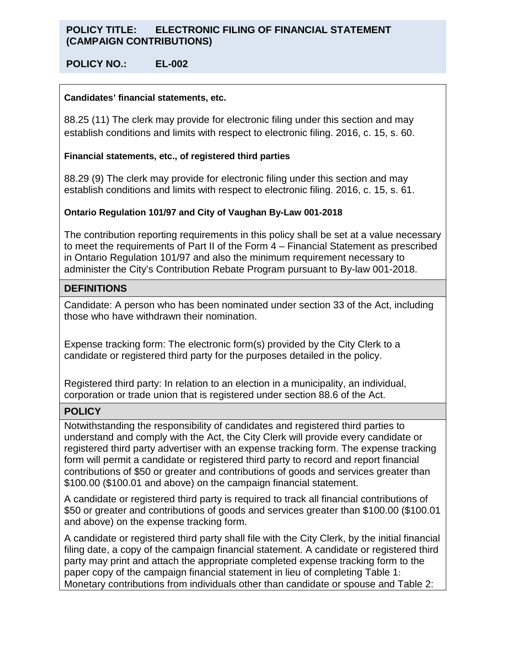### **POLICY TITLE: ELECTRONIC FILING OF FINANCIAL STATEMENT (CAMPAIGN CONTRIBUTIONS)**

#### **POLICY NO.: EL-002**

#### **Candidates' financial statements, etc.**

88.25 (11) The clerk may provide for electronic filing under this section and may establish conditions and limits with respect to electronic filing. 2016, c. 15, s. 60.

#### **Financial statements, etc., of registered third parties**

88.29 (9) The clerk may provide for electronic filing under this section and may establish conditions and limits with respect to electronic filing. 2016, c. 15, s. 61.

#### **Ontario Regulation 101/97 and City of Vaughan By-Law 001-2018**

The contribution reporting requirements in this policy shall be set at a value necessary to meet the requirements of Part II of the Form 4 – Financial Statement as prescribed in Ontario Regulation 101/97 and also the minimum requirement necessary to administer the City's Contribution Rebate Program pursuant to By-law 001-2018.

#### **DEFINITIONS**

Candidate: A person who has been nominated under section 33 of the Act, including those who have withdrawn their nomination.

Expense tracking form: The electronic form(s) provided by the City Clerk to a candidate or registered third party for the purposes detailed in the policy.

Registered third party: In relation to an election in a municipality, an individual, corporation or trade union that is registered under section 88.6 of the Act.

#### **POLICY**

Notwithstanding the responsibility of candidates and registered third parties to understand and comply with the Act, the City Clerk will provide every candidate or registered third party advertiser with an expense tracking form. The expense tracking form will permit a candidate or registered third party to record and report financial contributions of \$50 or greater and contributions of goods and services greater than \$100.00 (\$100.01 and above) on the campaign financial statement.

A candidate or registered third party is required to track all financial contributions of \$50 or greater and contributions of goods and services greater than \$100.00 (\$100.01 and above) on the expense tracking form.

A candidate or registered third party shall file with the City Clerk, by the initial financial filing date, a copy of the campaign financial statement. A candidate or registered third party may print and attach the appropriate completed expense tracking form to the paper copy of the campaign financial statement in lieu of completing Table 1: Monetary contributions from individuals other than candidate or spouse and Table 2: